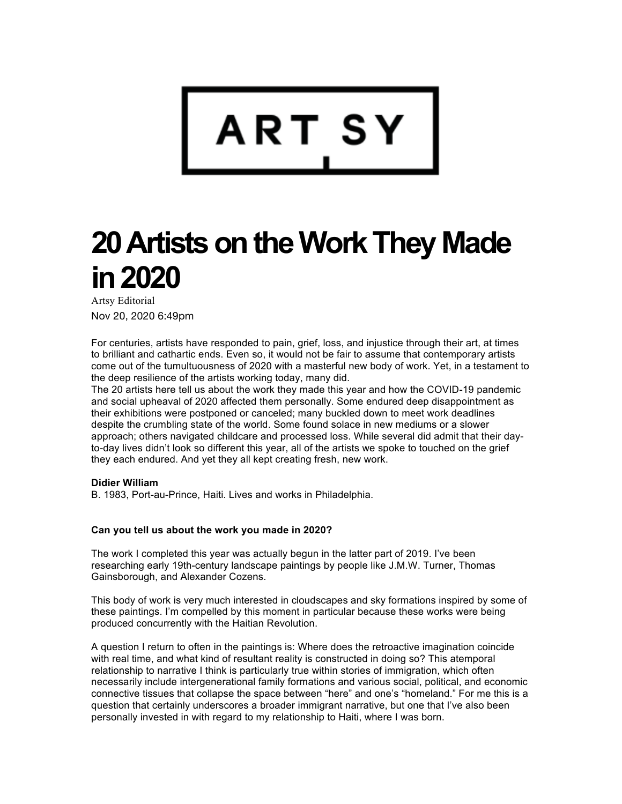

# **20 Artists on the Work They Made in 2020**

Artsy Editorial Nov 20, 2020 6:49pm

For centuries, artists have responded to pain, grief, loss, and injustice through their art, at times to brilliant and cathartic ends. Even so, it would not be fair to assume that contemporary artists come out of the tumultuousness of 2020 with a masterful new body of work. Yet, in a testament to the deep resilience of the artists working today, many did.

The 20 artists here tell us about the work they made this year and how the COVID-19 pandemic and social upheaval of 2020 affected them personally. Some endured deep disappointment as their exhibitions were postponed or canceled; many buckled down to meet work deadlines despite the crumbling state of the world. Some found solace in new mediums or a slower approach; others navigated childcare and processed loss. While several did admit that their dayto-day lives didn't look so different this year, all of the artists we spoke to touched on the grief they each endured. And yet they all kept creating fresh, new work.

## **Didier William**

B. 1983, Port-au-Prince, Haiti. Lives and works in Philadelphia.

#### **Can you tell us about the work you made in 2020?**

The work I completed this year was actually begun in the latter part of 2019. I've been researching early 19th-century landscape paintings by people like J.M.W. Turner, Thomas Gainsborough, and Alexander Cozens.

This body of work is very much interested in cloudscapes and sky formations inspired by some of these paintings. I'm compelled by this moment in particular because these works were being produced concurrently with the Haitian Revolution.

A question I return to often in the paintings is: Where does the retroactive imagination coincide with real time, and what kind of resultant reality is constructed in doing so? This atemporal relationship to narrative I think is particularly true within stories of immigration, which often necessarily include intergenerational family formations and various social, political, and economic connective tissues that collapse the space between "here" and one's "homeland." For me this is a question that certainly underscores a broader immigrant narrative, but one that I've also been personally invested in with regard to my relationship to Haiti, where I was born.